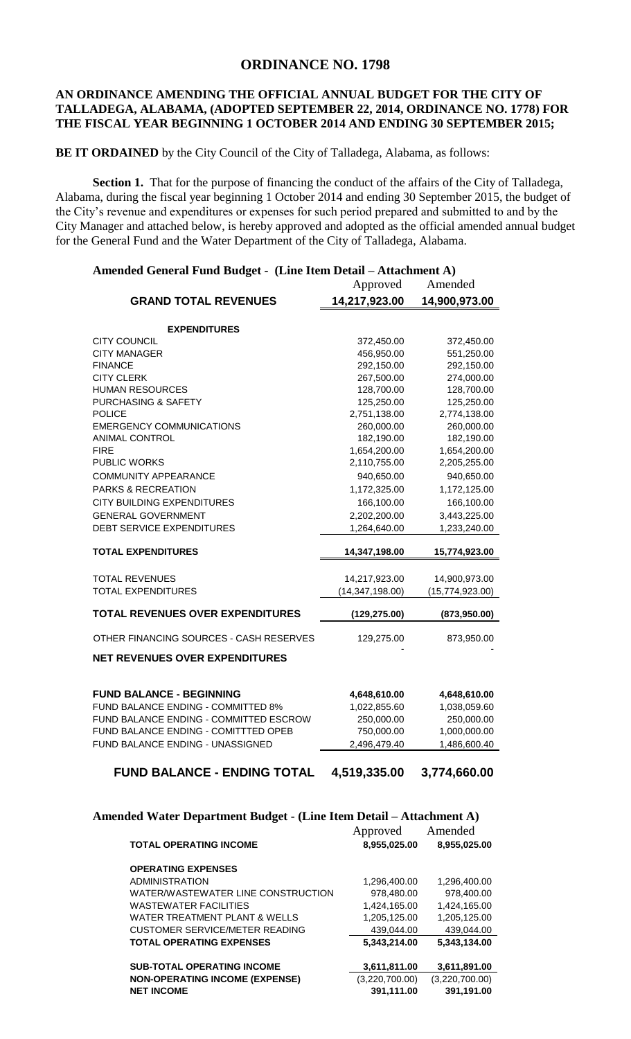## **ORDINANCE NO. 1798**

## **AN ORDINANCE AMENDING THE OFFICIAL ANNUAL BUDGET FOR THE CITY OF TALLADEGA, ALABAMA, (ADOPTED SEPTEMBER 22, 2014, ORDINANCE NO. 1778) FOR THE FISCAL YEAR BEGINNING 1 OCTOBER 2014 AND ENDING 30 SEPTEMBER 2015;**

**BE IT ORDAINED** by the City Council of the City of Talladega, Alabama, as follows:

**Section 1.** That for the purpose of financing the conduct of the affairs of the City of Talladega, Alabama, during the fiscal year beginning 1 October 2014 and ending 30 September 2015, the budget of the City's revenue and expenditures or expenses for such period prepared and submitted to and by the City Manager and attached below, is hereby approved and adopted as the official amended annual budget for the General Fund and the Water Department of the City of Talladega, Alabama.

|                                         | Amended General Fund Budget - (Line Item Detail – Attachment A) |                 |  |
|-----------------------------------------|-----------------------------------------------------------------|-----------------|--|
|                                         | Approved                                                        | Amended         |  |
| <b>GRAND TOTAL REVENUES</b>             | 14,217,923.00                                                   | 14,900,973.00   |  |
|                                         |                                                                 |                 |  |
| <b>EXPENDITURES</b>                     |                                                                 |                 |  |
| <b>CITY COUNCIL</b>                     | 372,450.00                                                      | 372,450.00      |  |
| <b>CITY MANAGER</b>                     | 456,950.00                                                      | 551,250.00      |  |
| <b>FINANCE</b>                          | 292,150.00                                                      | 292,150.00      |  |
| <b>CITY CLERK</b>                       | 267,500.00                                                      | 274,000.00      |  |
| <b>HUMAN RESOURCES</b>                  | 128,700.00                                                      | 128,700.00      |  |
| PURCHASING & SAFETY                     | 125,250.00                                                      | 125,250.00      |  |
| <b>POLICE</b>                           | 2,751,138.00                                                    | 2,774,138.00    |  |
| <b>EMERGENCY COMMUNICATIONS</b>         | 260,000.00                                                      | 260,000.00      |  |
| <b>ANIMAL CONTROL</b>                   | 182,190.00                                                      | 182,190.00      |  |
| <b>FIRE</b>                             | 1,654,200.00                                                    | 1,654,200.00    |  |
| <b>PUBLIC WORKS</b>                     | 2,110,755.00                                                    | 2,205,255.00    |  |
| <b>COMMUNITY APPEARANCE</b>             | 940,650.00                                                      | 940,650.00      |  |
| <b>PARKS &amp; RECREATION</b>           | 1,172,325.00                                                    | 1,172,125.00    |  |
| <b>CITY BUILDING EXPENDITURES</b>       | 166,100.00                                                      | 166,100.00      |  |
| <b>GENERAL GOVERNMENT</b>               | 2,202,200.00                                                    | 3,443,225.00    |  |
| <b>DEBT SERVICE EXPENDITURES</b>        | 1,264,640.00                                                    | 1,233,240.00    |  |
| <b>TOTAL EXPENDITURES</b>               | 14,347,198.00                                                   | 15,774,923.00   |  |
|                                         |                                                                 |                 |  |
| <b>TOTAL REVENUES</b>                   | 14,217,923.00                                                   | 14,900,973.00   |  |
| <b>TOTAL EXPENDITURES</b>               | (14, 347, 198.00)                                               | (15,774,923.00) |  |
| <b>TOTAL REVENUES OVER EXPENDITURES</b> | (129, 275.00)                                                   | (873,950.00)    |  |
| OTHER FINANCING SOURCES - CASH RESERVES | 129,275.00                                                      | 873,950.00      |  |
| <b>NET REVENUES OVER EXPENDITURES</b>   |                                                                 |                 |  |
|                                         |                                                                 |                 |  |
| <b>FUND BALANCE - BEGINNING</b>         | 4,648,610.00                                                    | 4,648,610.00    |  |
| FUND BALANCE ENDING - COMMITTED 8%      | 1,022,855.60                                                    | 1,038,059.60    |  |
| FUND BALANCE ENDING - COMMITTED ESCROW  | 250,000.00                                                      | 250,000.00      |  |
| FUND BALANCE ENDING - COMITTTED OPEB    | 750,000.00                                                      | 1,000,000.00    |  |
| FUND BALANCE ENDING - UNASSIGNED        | 2,496,479.40                                                    | 1,486,600.40    |  |
|                                         |                                                                 |                 |  |

## **FUND BALANCE - ENDING TOTAL 4,519,335.00 3,774,660.00**

| Amended Water Department Budget - (Line Item Detail – Attachment A) |                |                |  |
|---------------------------------------------------------------------|----------------|----------------|--|
|                                                                     | Approved       | Amended        |  |
| <b>TOTAL OPERATING INCOME</b>                                       | 8,955,025.00   | 8,955,025.00   |  |
| <b>OPERATING EXPENSES</b>                                           |                |                |  |
| <b>ADMINISTRATION</b>                                               | 1,296,400.00   | 1,296,400.00   |  |
| WATER/WASTEWATER LINE CONSTRUCTION                                  | 978,480.00     | 978,400.00     |  |
| <b>WASTEWATER FACILITIES</b>                                        | 1,424,165.00   | 1,424,165.00   |  |
| WATER TREATMENT PLANT & WELLS                                       | 1,205,125.00   | 1,205,125.00   |  |
| <b>CUSTOMER SERVICE/METER READING</b>                               | 439.044.00     | 439.044.00     |  |
| TOTAL OPERATING EXPENSES                                            | 5,343,214.00   | 5.343.134.00   |  |
| <b>SUB-TOTAL OPERATING INCOME</b>                                   | 3,611,811.00   | 3,611,891.00   |  |
| <b>NON-OPERATING INCOME (EXPENSE)</b>                               | (3,220,700.00) | (3,220,700.00) |  |
| <b>NET INCOME</b>                                                   | 391,111.00     | 391,191.00     |  |